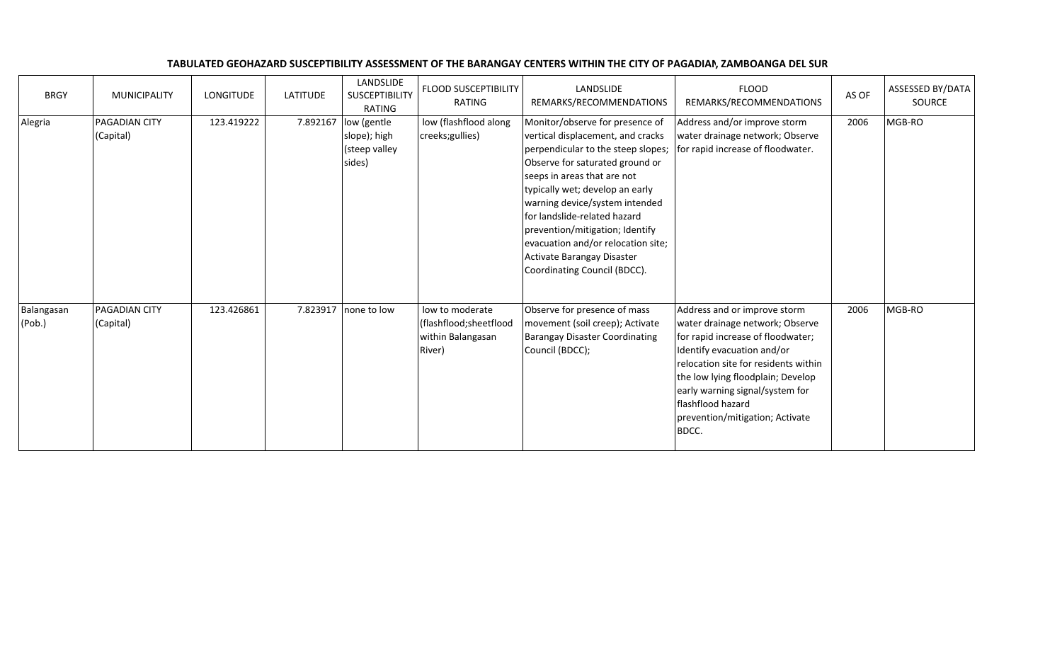| TABULATED GEOHAZARD SUSCEPTIBILITY ASSESSMENT OF THE BARANGAY CENTERS WITHIN THE CITY OF PAGADIAN. ZAMBOANGA DEL SUR |
|----------------------------------------------------------------------------------------------------------------------|
|----------------------------------------------------------------------------------------------------------------------|

| <b>BRGY</b>          | <b>MUNICIPALITY</b>        | <b>LONGITUDE</b> | <b>LATITUDE</b> | LANDSLIDE<br>SUSCEPTIBILITY<br>RATING                  | <b>FLOOD SUSCEPTIBILITY</b><br>RATING                                     | LANDSLIDE<br>REMARKS/RECOMMENDATIONS                                                                                                                                                                                                                                                                                                                                                                                     | <b>FLOOD</b><br>REMARKS/RECOMMENDATIONS                                                                                                                                                                                                                                                                             | AS OF | ASSESSED BY/DATA<br>SOURCE |
|----------------------|----------------------------|------------------|-----------------|--------------------------------------------------------|---------------------------------------------------------------------------|--------------------------------------------------------------------------------------------------------------------------------------------------------------------------------------------------------------------------------------------------------------------------------------------------------------------------------------------------------------------------------------------------------------------------|---------------------------------------------------------------------------------------------------------------------------------------------------------------------------------------------------------------------------------------------------------------------------------------------------------------------|-------|----------------------------|
| Alegria              | PAGADIAN CITY<br>(Capital) | 123.419222       | 7.892167        | low (gentle<br>slope); high<br>(steep valley<br>sides) | low (flashflood along<br>creeks; gullies)                                 | Monitor/observe for presence of<br>vertical displacement, and cracks<br>perpendicular to the steep slopes;<br>Observe for saturated ground or<br>seeps in areas that are not<br>typically wet; develop an early<br>warning device/system intended<br>for landslide-related hazard<br>prevention/mitigation; Identify<br>evacuation and/or relocation site;<br>Activate Barangay Disaster<br>Coordinating Council (BDCC). | Address and/or improve storm<br>water drainage network; Observe<br>for rapid increase of floodwater.                                                                                                                                                                                                                | 2006  | MGB-RO                     |
| Balangasan<br>(Pob.) | PAGADIAN CITY<br>(Capital) | 123.426861       |                 | 7.823917   none to low                                 | low to moderate<br>(flashflood; sheetflood<br>within Balangasan<br>River) | Observe for presence of mass<br>movement (soil creep); Activate<br><b>Barangay Disaster Coordinating</b><br>Council (BDCC);                                                                                                                                                                                                                                                                                              | Address and or improve storm<br>water drainage network; Observe<br>for rapid increase of floodwater;<br>Identify evacuation and/or<br>relocation site for residents within<br>the low lying floodplain; Develop<br>early warning signal/system for<br>flashflood hazard<br>prevention/mitigation; Activate<br>BDCC. | 2006  | MGB-RO                     |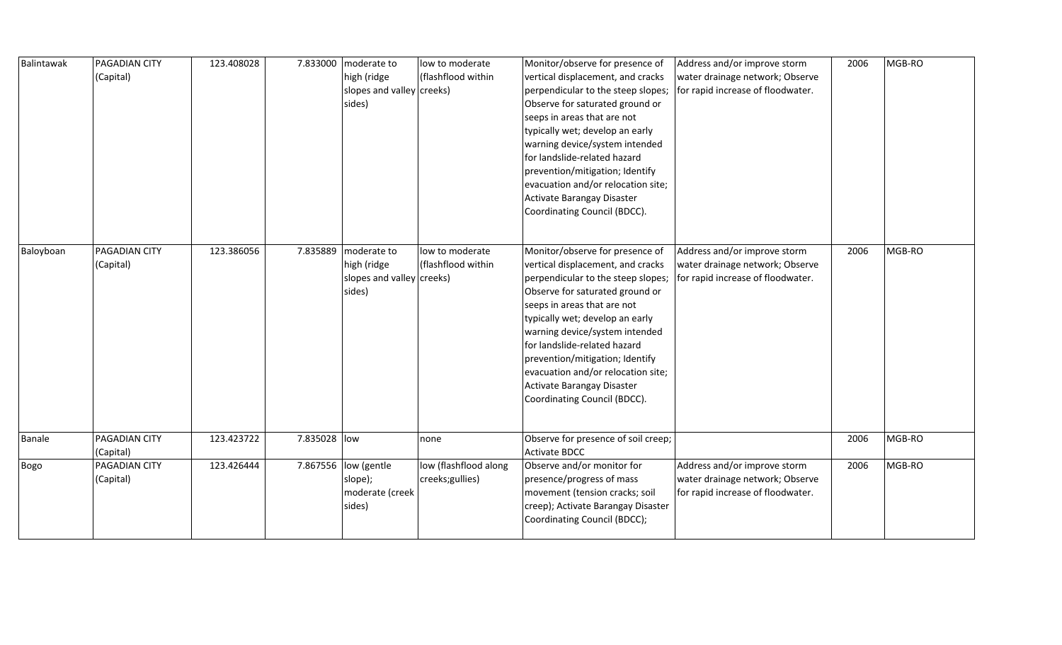| Balintawak | PAGADIAN CITY<br>(Capital) | 123.408028 |              | 7.833000 moderate to<br>high (ridge<br>slopes and valley creeks)<br>sides) | low to moderate<br>(flashflood within    | Monitor/observe for presence of<br>vertical displacement, and cracks<br>perpendicular to the steep slopes;<br>Observe for saturated ground or<br>seeps in areas that are not<br>typically wet; develop an early<br>warning device/system intended<br>for landslide-related hazard<br>prevention/mitigation; Identify<br>evacuation and/or relocation site;<br>Activate Barangay Disaster<br>Coordinating Council (BDCC). | Address and/or improve storm<br>water drainage network; Observe<br>for rapid increase of floodwater. | 2006 | MGB-RO |
|------------|----------------------------|------------|--------------|----------------------------------------------------------------------------|------------------------------------------|--------------------------------------------------------------------------------------------------------------------------------------------------------------------------------------------------------------------------------------------------------------------------------------------------------------------------------------------------------------------------------------------------------------------------|------------------------------------------------------------------------------------------------------|------|--------|
| Baloyboan  | PAGADIAN CITY<br>(Capital) | 123.386056 | 7.835889     | moderate to<br>high (ridge<br>slopes and valley creeks)<br>sides)          | low to moderate<br>(flashflood within    | Monitor/observe for presence of<br>vertical displacement, and cracks<br>perpendicular to the steep slopes;<br>Observe for saturated ground or<br>seeps in areas that are not<br>typically wet; develop an early<br>warning device/system intended<br>for landslide-related hazard<br>prevention/mitigation; Identify<br>evacuation and/or relocation site;<br>Activate Barangay Disaster<br>Coordinating Council (BDCC). | Address and/or improve storm<br>water drainage network; Observe<br>for rapid increase of floodwater. | 2006 | MGB-RO |
| Banale     | PAGADIAN CITY<br>(Capital) | 123.423722 | 7.835028 low |                                                                            | none                                     | Observe for presence of soil creep;<br><b>Activate BDCC</b>                                                                                                                                                                                                                                                                                                                                                              |                                                                                                      | 2006 | MGB-RO |
| Bogo       | PAGADIAN CITY<br>(Capital) | 123.426444 |              | 7.867556 low (gentle<br>slope);<br>moderate (creek<br>sides)               | low (flashflood along<br>creeks;gullies) | Observe and/or monitor for<br>presence/progress of mass<br>movement (tension cracks; soil<br>creep); Activate Barangay Disaster<br>Coordinating Council (BDCC);                                                                                                                                                                                                                                                          | Address and/or improve storm<br>water drainage network; Observe<br>for rapid increase of floodwater. | 2006 | MGB-RO |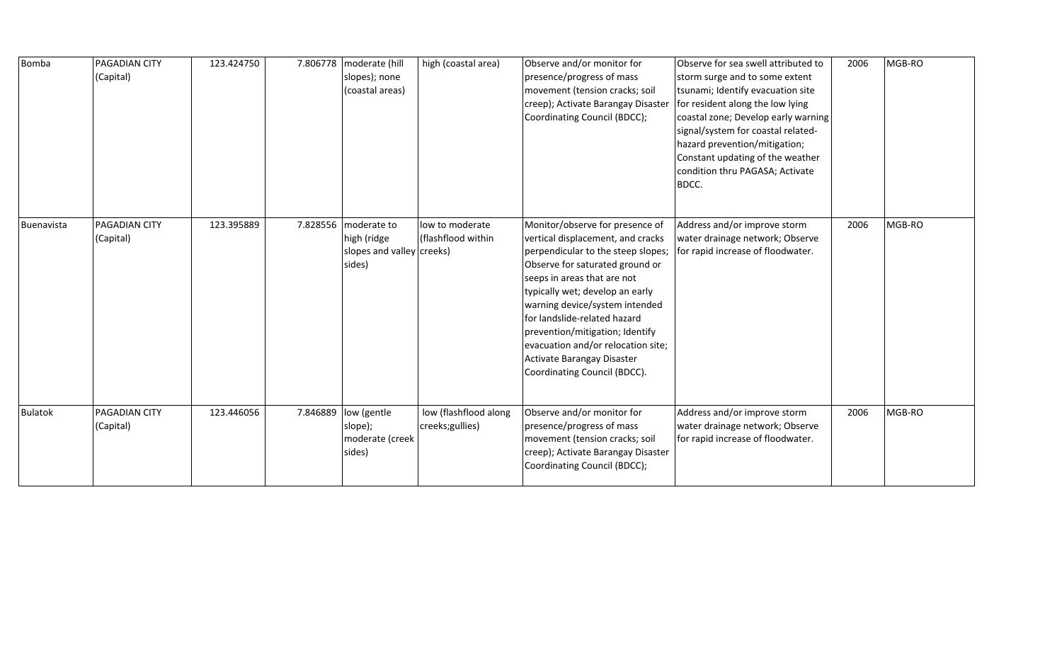| <b>Bomba</b>   | <b>PAGADIAN CITY</b><br>(Capital) | 123.424750 |          | 7.806778   moderate (hill<br>slopes); none<br>(coastal areas)     | high (coastal area)                      | Observe and/or monitor for<br>presence/progress of mass<br>movement (tension cracks; soil<br>creep); Activate Barangay Disaster<br>Coordinating Council (BDCC);                                                                                                                                                                                                                                                          | Observe for sea swell attributed to<br>storm surge and to some extent<br>tsunami; Identify evacuation site<br>for resident along the low lying<br>coastal zone; Develop early warning<br>signal/system for coastal related-<br>hazard prevention/mitigation;<br>Constant updating of the weather<br>condition thru PAGASA; Activate<br>BDCC. | 2006 | MGB-RO |
|----------------|-----------------------------------|------------|----------|-------------------------------------------------------------------|------------------------------------------|--------------------------------------------------------------------------------------------------------------------------------------------------------------------------------------------------------------------------------------------------------------------------------------------------------------------------------------------------------------------------------------------------------------------------|----------------------------------------------------------------------------------------------------------------------------------------------------------------------------------------------------------------------------------------------------------------------------------------------------------------------------------------------|------|--------|
| Buenavista     | PAGADIAN CITY<br>(Capital)        | 123.395889 | 7.828556 | moderate to<br>high (ridge<br>slopes and valley creeks)<br>sides) | low to moderate<br>(flashflood within    | Monitor/observe for presence of<br>vertical displacement, and cracks<br>perpendicular to the steep slopes;<br>Observe for saturated ground or<br>seeps in areas that are not<br>typically wet; develop an early<br>warning device/system intended<br>for landslide-related hazard<br>prevention/mitigation; Identify<br>evacuation and/or relocation site;<br>Activate Barangay Disaster<br>Coordinating Council (BDCC). | Address and/or improve storm<br>water drainage network; Observe<br>for rapid increase of floodwater.                                                                                                                                                                                                                                         | 2006 | MGB-RO |
| <b>Bulatok</b> | PAGADIAN CITY<br>(Capital)        | 123.446056 | 7.846889 | low (gentle<br>slope);<br>moderate (creek<br>sides)               | low (flashflood along<br>creeks;gullies) | Observe and/or monitor for<br>presence/progress of mass<br>movement (tension cracks; soil<br>creep); Activate Barangay Disaster<br>Coordinating Council (BDCC);                                                                                                                                                                                                                                                          | Address and/or improve storm<br>water drainage network; Observe<br>for rapid increase of floodwater.                                                                                                                                                                                                                                         | 2006 | MGB-RO |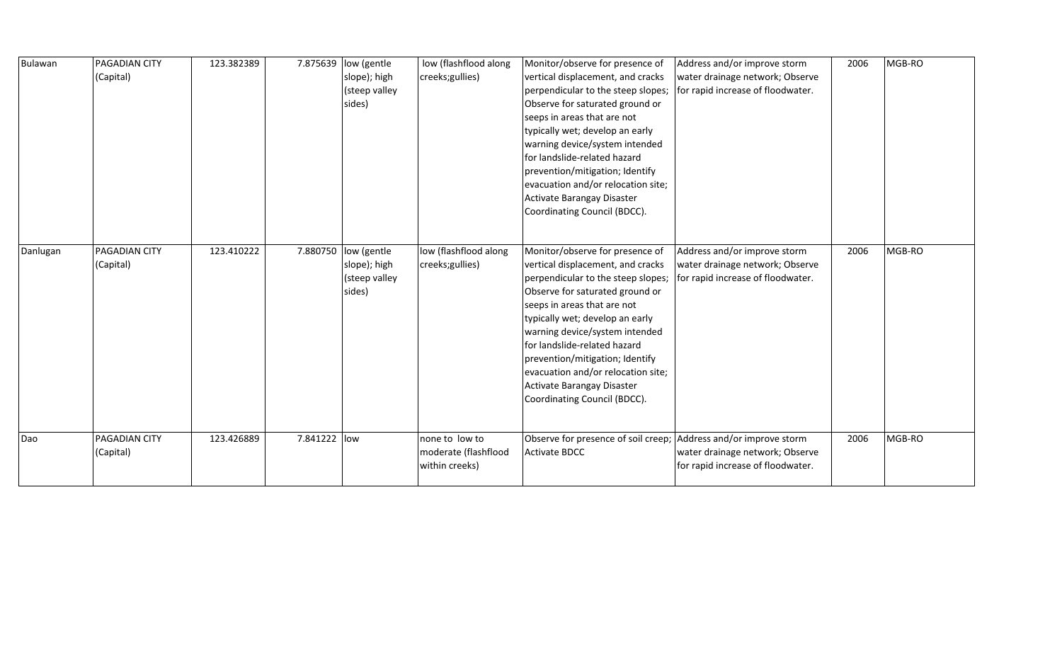| Bulawan  | <b>PAGADIAN CITY</b><br>(Capital) | 123.382389 | 7.875639     | low (gentle<br>slope); high<br>(steep valley<br>sides) | low (flashflood along<br>creeks; gullies)                | Monitor/observe for presence of<br>vertical displacement, and cracks<br>perpendicular to the steep slopes;<br>Observe for saturated ground or<br>seeps in areas that are not<br>typically wet; develop an early<br>warning device/system intended<br>for landslide-related hazard<br>prevention/mitigation; Identify<br>evacuation and/or relocation site;<br>Activate Barangay Disaster<br>Coordinating Council (BDCC). | Address and/or improve storm<br>water drainage network; Observe<br>for rapid increase of floodwater. | 2006 | MGB-RO |
|----------|-----------------------------------|------------|--------------|--------------------------------------------------------|----------------------------------------------------------|--------------------------------------------------------------------------------------------------------------------------------------------------------------------------------------------------------------------------------------------------------------------------------------------------------------------------------------------------------------------------------------------------------------------------|------------------------------------------------------------------------------------------------------|------|--------|
| Danlugan | PAGADIAN CITY<br>(Capital)        | 123.410222 | 7.880750     | low (gentle<br>slope); high<br>(steep valley<br>sides) | low (flashflood along<br>creeks; gullies)                | Monitor/observe for presence of<br>vertical displacement, and cracks<br>perpendicular to the steep slopes;<br>Observe for saturated ground or<br>seeps in areas that are not<br>typically wet; develop an early<br>warning device/system intended<br>for landslide-related hazard<br>prevention/mitigation; Identify<br>evacuation and/or relocation site;<br>Activate Barangay Disaster<br>Coordinating Council (BDCC). | Address and/or improve storm<br>water drainage network; Observe<br>for rapid increase of floodwater. | 2006 | MGB-RO |
| Dao      | PAGADIAN CITY<br>(Capital)        | 123.426889 | 7.841222 low |                                                        | none to low to<br>moderate (flashflood<br>within creeks) | Observe for presence of soil creep; Address and/or improve storm<br><b>Activate BDCC</b>                                                                                                                                                                                                                                                                                                                                 | water drainage network; Observe<br>for rapid increase of floodwater.                                 | 2006 | MGB-RO |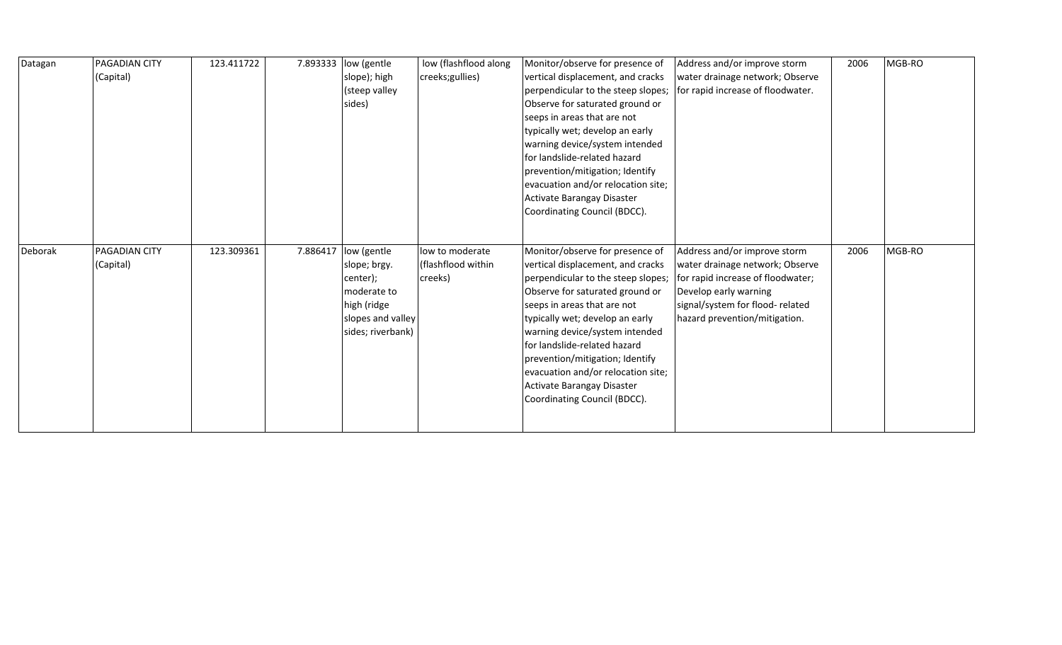| Datagan | <b>PAGADIAN CITY</b> | 123.411722 | 7.893333 | low (gentle       | low (flashflood along | Monitor/observe for presence of    | Address and/or improve storm      | 2006 | MGB-RO |
|---------|----------------------|------------|----------|-------------------|-----------------------|------------------------------------|-----------------------------------|------|--------|
|         | (Capital)            |            |          | slope); high      | creeks;gullies)       | vertical displacement, and cracks  | water drainage network; Observe   |      |        |
|         |                      |            |          | (steep valley     |                       | perpendicular to the steep slopes; | for rapid increase of floodwater. |      |        |
|         |                      |            |          | sides)            |                       | Observe for saturated ground or    |                                   |      |        |
|         |                      |            |          |                   |                       | seeps in areas that are not        |                                   |      |        |
|         |                      |            |          |                   |                       | typically wet; develop an early    |                                   |      |        |
|         |                      |            |          |                   |                       | warning device/system intended     |                                   |      |        |
|         |                      |            |          |                   |                       | for landslide-related hazard       |                                   |      |        |
|         |                      |            |          |                   |                       | prevention/mitigation; Identify    |                                   |      |        |
|         |                      |            |          |                   |                       | evacuation and/or relocation site; |                                   |      |        |
|         |                      |            |          |                   |                       | Activate Barangay Disaster         |                                   |      |        |
|         |                      |            |          |                   |                       | Coordinating Council (BDCC).       |                                   |      |        |
|         |                      |            |          |                   |                       |                                    |                                   |      |        |
|         |                      |            |          |                   |                       |                                    |                                   |      |        |
|         |                      |            |          |                   |                       |                                    |                                   |      |        |
| Deborak | <b>PAGADIAN CITY</b> | 123.309361 | 7.886417 | low (gentle       | low to moderate       | Monitor/observe for presence of    | Address and/or improve storm      | 2006 | MGB-RO |
|         | (Capital)            |            |          | slope; brgy.      | (flashflood within    | vertical displacement, and cracks  | water drainage network; Observe   |      |        |
|         |                      |            |          | center);          | creeks)               | perpendicular to the steep slopes; | for rapid increase of floodwater; |      |        |
|         |                      |            |          | moderate to       |                       | Observe for saturated ground or    | Develop early warning             |      |        |
|         |                      |            |          | high (ridge       |                       | seeps in areas that are not        | signal/system for flood-related   |      |        |
|         |                      |            |          | slopes and valley |                       | typically wet; develop an early    | hazard prevention/mitigation.     |      |        |
|         |                      |            |          | sides; riverbank) |                       | warning device/system intended     |                                   |      |        |
|         |                      |            |          |                   |                       | for landslide-related hazard       |                                   |      |        |
|         |                      |            |          |                   |                       | prevention/mitigation; Identify    |                                   |      |        |
|         |                      |            |          |                   |                       | evacuation and/or relocation site; |                                   |      |        |
|         |                      |            |          |                   |                       | Activate Barangay Disaster         |                                   |      |        |
|         |                      |            |          |                   |                       | Coordinating Council (BDCC).       |                                   |      |        |
|         |                      |            |          |                   |                       |                                    |                                   |      |        |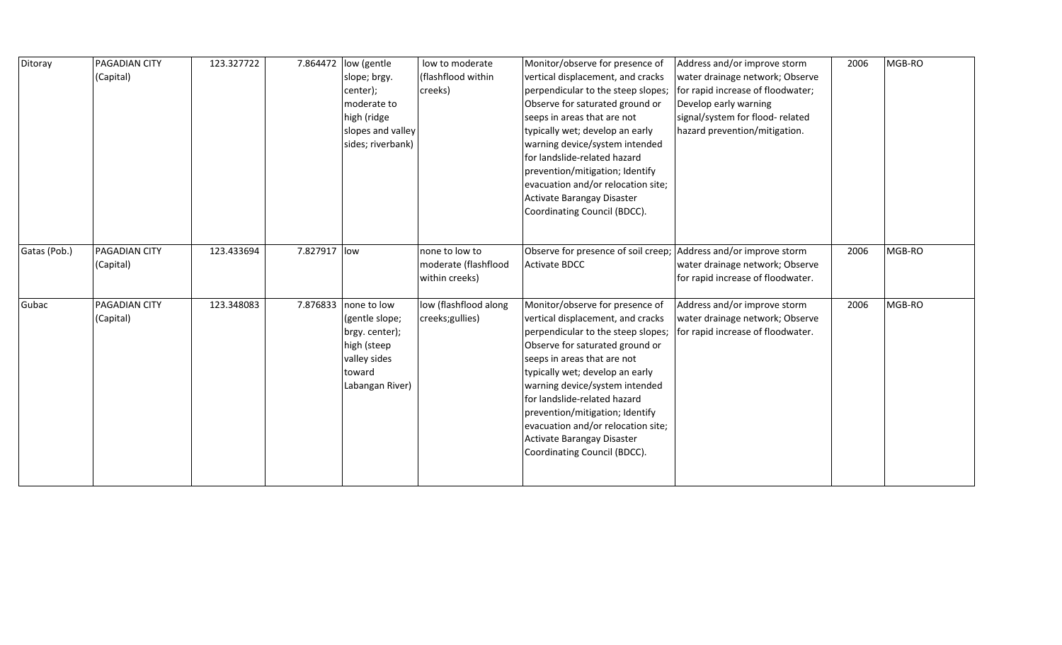| Ditoray      | PAGADIAN CITY<br>(Capital)        | 123.327722 |              | 7.864472 low (gentle<br>slope; brgy.<br>center);<br>moderate to<br>high (ridge<br>slopes and valley<br>sides; riverbank) | low to moderate<br>(flashflood within<br>creeks)         | Monitor/observe for presence of<br>vertical displacement, and cracks<br>perpendicular to the steep slopes;<br>Observe for saturated ground or<br>seeps in areas that are not<br>typically wet; develop an early<br>warning device/system intended<br>for landslide-related hazard<br>prevention/mitigation; Identify<br>evacuation and/or relocation site;<br>Activate Barangay Disaster<br>Coordinating Council (BDCC). | Address and/or improve storm<br>water drainage network; Observe<br>for rapid increase of floodwater;<br>Develop early warning<br>signal/system for flood-related<br>hazard prevention/mitigation. | 2006 | MGB-RO |
|--------------|-----------------------------------|------------|--------------|--------------------------------------------------------------------------------------------------------------------------|----------------------------------------------------------|--------------------------------------------------------------------------------------------------------------------------------------------------------------------------------------------------------------------------------------------------------------------------------------------------------------------------------------------------------------------------------------------------------------------------|---------------------------------------------------------------------------------------------------------------------------------------------------------------------------------------------------|------|--------|
| Gatas (Pob.) | <b>PAGADIAN CITY</b><br>(Capital) | 123.433694 | 7.827917 low |                                                                                                                          | none to low to<br>moderate (flashflood<br>within creeks) | Observe for presence of soil creep;<br><b>Activate BDCC</b>                                                                                                                                                                                                                                                                                                                                                              | Address and/or improve storm<br>water drainage network; Observe<br>for rapid increase of floodwater.                                                                                              | 2006 | MGB-RO |
| Gubac        | PAGADIAN CITY<br>(Capital)        | 123.348083 | 7.876833     | none to low<br>(gentle slope;<br>brgy. center);<br>high (steep<br>valley sides<br>toward<br>Labangan River)              | low (flashflood along<br>creeks; gullies)                | Monitor/observe for presence of<br>vertical displacement, and cracks<br>perpendicular to the steep slopes;<br>Observe for saturated ground or<br>seeps in areas that are not<br>typically wet; develop an early<br>warning device/system intended<br>for landslide-related hazard<br>prevention/mitigation; Identify<br>evacuation and/or relocation site;<br>Activate Barangay Disaster<br>Coordinating Council (BDCC). | Address and/or improve storm<br>water drainage network; Observe<br>for rapid increase of floodwater.                                                                                              | 2006 | MGB-RO |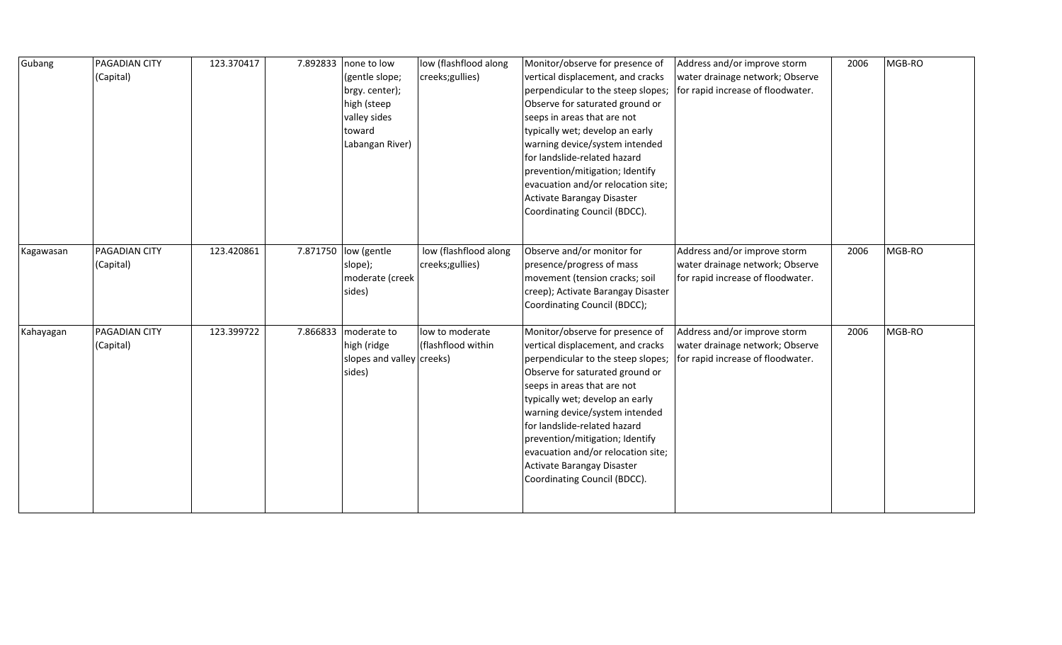| Gubang    | <b>PAGADIAN CITY</b><br>(Capital) | 123.370417 | 7.892833 | none to low<br>(gentle slope;<br>brgy. center);<br>high (steep<br>valley sides<br>toward<br>Labangan River) | low (flashflood along<br>creeks; gullies) | Monitor/observe for presence of<br>vertical displacement, and cracks<br>perpendicular to the steep slopes;<br>Observe for saturated ground or<br>seeps in areas that are not<br>typically wet; develop an early<br>warning device/system intended<br>for landslide-related hazard<br>prevention/mitigation; Identify<br>evacuation and/or relocation site;<br>Activate Barangay Disaster<br>Coordinating Council (BDCC). | Address and/or improve storm<br>water drainage network; Observe<br>for rapid increase of floodwater. | 2006 | MGB-RO |
|-----------|-----------------------------------|------------|----------|-------------------------------------------------------------------------------------------------------------|-------------------------------------------|--------------------------------------------------------------------------------------------------------------------------------------------------------------------------------------------------------------------------------------------------------------------------------------------------------------------------------------------------------------------------------------------------------------------------|------------------------------------------------------------------------------------------------------|------|--------|
| Kagawasan | <b>PAGADIAN CITY</b><br>(Capital) | 123.420861 |          | 7.871750  low (gentle<br>slope);<br>moderate (creek<br>sides)                                               | low (flashflood along<br>creeks; gullies) | Observe and/or monitor for<br>presence/progress of mass<br>movement (tension cracks; soil<br>creep); Activate Barangay Disaster<br>Coordinating Council (BDCC);                                                                                                                                                                                                                                                          | Address and/or improve storm<br>water drainage network; Observe<br>for rapid increase of floodwater. | 2006 | MGB-RO |
| Kahayagan | <b>PAGADIAN CITY</b><br>(Capital) | 123.399722 | 7.866833 | moderate to<br>high (ridge<br>slopes and valley creeks)<br>sides)                                           | low to moderate<br>(flashflood within     | Monitor/observe for presence of<br>vertical displacement, and cracks<br>perpendicular to the steep slopes;<br>Observe for saturated ground or<br>seeps in areas that are not<br>typically wet; develop an early<br>warning device/system intended<br>for landslide-related hazard<br>prevention/mitigation; Identify<br>evacuation and/or relocation site;<br>Activate Barangay Disaster<br>Coordinating Council (BDCC). | Address and/or improve storm<br>water drainage network; Observe<br>for rapid increase of floodwater. | 2006 | MGB-RO |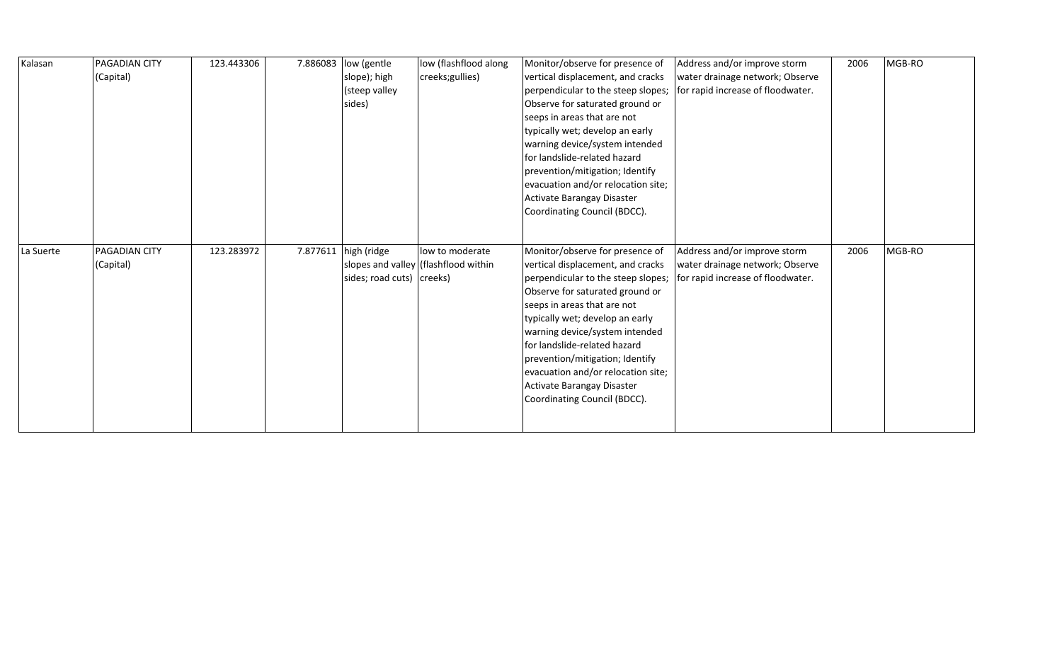| Kalasan   | PAGADIAN CITY | 123.443306 | 7.886083 | low (gentle               | low (flashflood along                | Monitor/observe for presence of    | Address and/or improve storm      | 2006 | MGB-RO |
|-----------|---------------|------------|----------|---------------------------|--------------------------------------|------------------------------------|-----------------------------------|------|--------|
|           | (Capital)     |            |          | slope); high              | creeks;gullies)                      | vertical displacement, and cracks  | water drainage network; Observe   |      |        |
|           |               |            |          | (steep valley             |                                      | perpendicular to the steep slopes; | for rapid increase of floodwater. |      |        |
|           |               |            |          | sides)                    |                                      | Observe for saturated ground or    |                                   |      |        |
|           |               |            |          |                           |                                      | seeps in areas that are not        |                                   |      |        |
|           |               |            |          |                           |                                      | typically wet; develop an early    |                                   |      |        |
|           |               |            |          |                           |                                      | warning device/system intended     |                                   |      |        |
|           |               |            |          |                           |                                      | for landslide-related hazard       |                                   |      |        |
|           |               |            |          |                           |                                      | prevention/mitigation; Identify    |                                   |      |        |
|           |               |            |          |                           |                                      | evacuation and/or relocation site; |                                   |      |        |
|           |               |            |          |                           |                                      | Activate Barangay Disaster         |                                   |      |        |
|           |               |            |          |                           |                                      | Coordinating Council (BDCC).       |                                   |      |        |
|           |               |            |          |                           |                                      |                                    |                                   |      |        |
|           |               |            |          |                           |                                      |                                    |                                   |      |        |
|           |               |            |          |                           |                                      |                                    |                                   |      |        |
| La Suerte | PAGADIAN CITY | 123.283972 |          | 7.877611 high (ridge      | low to moderate                      | Monitor/observe for presence of    | Address and/or improve storm      | 2006 | MGB-RO |
|           | (Capital)     |            |          |                           | slopes and valley (flashflood within | vertical displacement, and cracks  | water drainage network; Observe   |      |        |
|           |               |            |          | sides; road cuts) creeks) |                                      | perpendicular to the steep slopes; | for rapid increase of floodwater. |      |        |
|           |               |            |          |                           |                                      | Observe for saturated ground or    |                                   |      |        |
|           |               |            |          |                           |                                      | seeps in areas that are not        |                                   |      |        |
|           |               |            |          |                           |                                      | typically wet; develop an early    |                                   |      |        |
|           |               |            |          |                           |                                      | warning device/system intended     |                                   |      |        |
|           |               |            |          |                           |                                      | for landslide-related hazard       |                                   |      |        |
|           |               |            |          |                           |                                      | prevention/mitigation; Identify    |                                   |      |        |
|           |               |            |          |                           |                                      | evacuation and/or relocation site; |                                   |      |        |
|           |               |            |          |                           |                                      | Activate Barangay Disaster         |                                   |      |        |
|           |               |            |          |                           |                                      | Coordinating Council (BDCC).       |                                   |      |        |
|           |               |            |          |                           |                                      |                                    |                                   |      |        |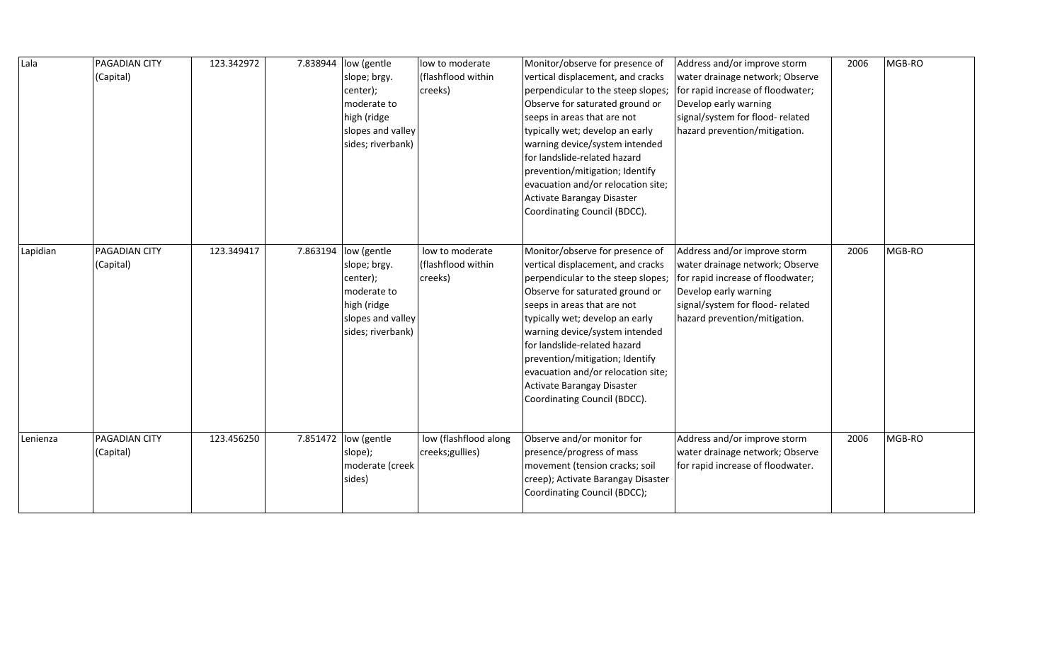| Lala     | <b>PAGADIAN CITY</b><br>(Capital) | 123.342972 | 7.838944 | low (gentle<br>slope; brgy.<br>center);<br>moderate to<br>high (ridge<br>slopes and valley<br>sides; riverbank) | low to moderate<br>(flashflood within<br>creeks) | Monitor/observe for presence of<br>vertical displacement, and cracks<br>perpendicular to the steep slopes;<br>Observe for saturated ground or<br>seeps in areas that are not<br>typically wet; develop an early<br>warning device/system intended<br>for landslide-related hazard<br>prevention/mitigation; Identify<br>evacuation and/or relocation site;<br>Activate Barangay Disaster<br>Coordinating Council (BDCC). | Address and/or improve storm<br>water drainage network; Observe<br>for rapid increase of floodwater;<br>Develop early warning<br>signal/system for flood-related<br>hazard prevention/mitigation. | 2006 | MGB-RO |
|----------|-----------------------------------|------------|----------|-----------------------------------------------------------------------------------------------------------------|--------------------------------------------------|--------------------------------------------------------------------------------------------------------------------------------------------------------------------------------------------------------------------------------------------------------------------------------------------------------------------------------------------------------------------------------------------------------------------------|---------------------------------------------------------------------------------------------------------------------------------------------------------------------------------------------------|------|--------|
| Lapidian | <b>PAGADIAN CITY</b><br>(Capital) | 123.349417 | 7.863194 | low (gentle<br>slope; brgy.<br>center);<br>moderate to<br>high (ridge<br>slopes and valley<br>sides; riverbank) | low to moderate<br>(flashflood within<br>creeks) | Monitor/observe for presence of<br>vertical displacement, and cracks<br>perpendicular to the steep slopes;<br>Observe for saturated ground or<br>seeps in areas that are not<br>typically wet; develop an early<br>warning device/system intended<br>for landslide-related hazard<br>prevention/mitigation; Identify<br>evacuation and/or relocation site;<br>Activate Barangay Disaster<br>Coordinating Council (BDCC). | Address and/or improve storm<br>water drainage network; Observe<br>for rapid increase of floodwater;<br>Develop early warning<br>signal/system for flood-related<br>hazard prevention/mitigation. | 2006 | MGB-RO |
| Lenienza | <b>PAGADIAN CITY</b><br>(Capital) | 123.456250 |          | 7.851472 low (gentle<br>slope);<br>moderate (creek<br>sides)                                                    | low (flashflood along<br>creeks; gullies)        | Observe and/or monitor for<br>presence/progress of mass<br>movement (tension cracks; soil<br>creep); Activate Barangay Disaster<br>Coordinating Council (BDCC);                                                                                                                                                                                                                                                          | Address and/or improve storm<br>water drainage network; Observe<br>for rapid increase of floodwater.                                                                                              | 2006 | MGB-RO |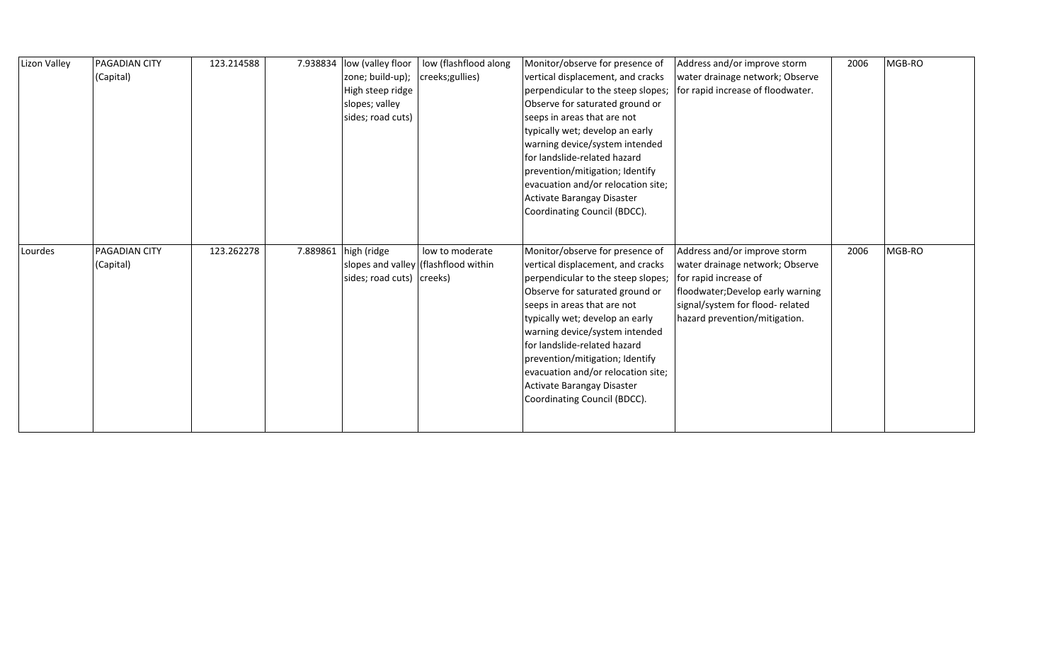| Lizon Valley | <b>PAGADIAN CITY</b><br>(Capital) | 123.214588 | 7.938834 | low (valley floor<br>zone; build-up);<br>High steep ridge<br>slopes; valley<br>sides; road cuts) | low (flashflood along<br>creeks;gullies)                | Monitor/observe for presence of<br>vertical displacement, and cracks<br>perpendicular to the steep slopes;<br>Observe for saturated ground or<br>seeps in areas that are not<br>typically wet; develop an early<br>warning device/system intended<br>for landslide-related hazard<br>prevention/mitigation; Identify<br>evacuation and/or relocation site;<br>Activate Barangay Disaster<br>Coordinating Council (BDCC). | Address and/or improve storm<br>water drainage network; Observe<br>for rapid increase of floodwater.                                                                                              | 2006 | MGB-RO |
|--------------|-----------------------------------|------------|----------|--------------------------------------------------------------------------------------------------|---------------------------------------------------------|--------------------------------------------------------------------------------------------------------------------------------------------------------------------------------------------------------------------------------------------------------------------------------------------------------------------------------------------------------------------------------------------------------------------------|---------------------------------------------------------------------------------------------------------------------------------------------------------------------------------------------------|------|--------|
| Lourdes      | <b>PAGADIAN CITY</b><br>(Capital) | 123.262278 | 7.889861 | high (ridge<br>sides; road cuts) creeks)                                                         | low to moderate<br>slopes and valley (flashflood within | Monitor/observe for presence of<br>vertical displacement, and cracks<br>perpendicular to the steep slopes;<br>Observe for saturated ground or<br>seeps in areas that are not<br>typically wet; develop an early<br>warning device/system intended<br>for landslide-related hazard<br>prevention/mitigation; Identify<br>evacuation and/or relocation site;<br>Activate Barangay Disaster<br>Coordinating Council (BDCC). | Address and/or improve storm<br>water drainage network; Observe<br>for rapid increase of<br>floodwater; Develop early warning<br>signal/system for flood-related<br>hazard prevention/mitigation. | 2006 | MGB-RO |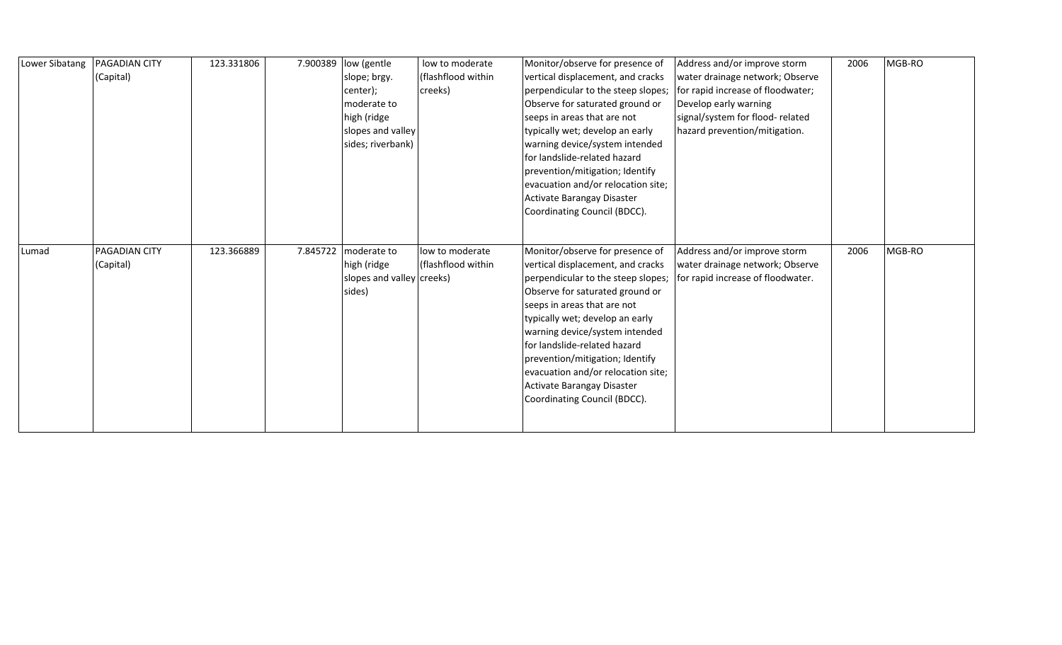| Lower Sibatang | PAGADIAN CITY | 123.331806 | 7.900389 | low (gentle               | low to moderate    | Monitor/observe for presence of    | Address and/or improve storm      | 2006 | MGB-RO |
|----------------|---------------|------------|----------|---------------------------|--------------------|------------------------------------|-----------------------------------|------|--------|
|                | (Capital)     |            |          | slope; brgy.              | (flashflood within | vertical displacement, and cracks  | water drainage network; Observe   |      |        |
|                |               |            |          | center);                  | creeks)            | perpendicular to the steep slopes; | for rapid increase of floodwater; |      |        |
|                |               |            |          | moderate to               |                    | Observe for saturated ground or    | Develop early warning             |      |        |
|                |               |            |          | high (ridge               |                    | seeps in areas that are not        | signal/system for flood-related   |      |        |
|                |               |            |          | slopes and valley         |                    | typically wet; develop an early    | hazard prevention/mitigation.     |      |        |
|                |               |            |          | sides; riverbank)         |                    | warning device/system intended     |                                   |      |        |
|                |               |            |          |                           |                    | lfor landslide-related hazard      |                                   |      |        |
|                |               |            |          |                           |                    | prevention/mitigation; Identify    |                                   |      |        |
|                |               |            |          |                           |                    | evacuation and/or relocation site; |                                   |      |        |
|                |               |            |          |                           |                    | Activate Barangay Disaster         |                                   |      |        |
|                |               |            |          |                           |                    | Coordinating Council (BDCC).       |                                   |      |        |
|                |               |            |          |                           |                    |                                    |                                   |      |        |
|                |               |            |          |                           |                    |                                    |                                   |      |        |
| Lumad          | PAGADIAN CITY | 123.366889 | 7.845722 | moderate to               | low to moderate    | Monitor/observe for presence of    | Address and/or improve storm      | 2006 | MGB-RO |
|                | (Capital)     |            |          | high (ridge               | (flashflood within | vertical displacement, and cracks  | water drainage network; Observe   |      |        |
|                |               |            |          | slopes and valley creeks) |                    | perpendicular to the steep slopes; | for rapid increase of floodwater. |      |        |
|                |               |            |          | sides)                    |                    | Observe for saturated ground or    |                                   |      |        |
|                |               |            |          |                           |                    | seeps in areas that are not        |                                   |      |        |
|                |               |            |          |                           |                    | typically wet; develop an early    |                                   |      |        |
|                |               |            |          |                           |                    |                                    |                                   |      |        |
|                |               |            |          |                           |                    | warning device/system intended     |                                   |      |        |
|                |               |            |          |                           |                    | for landslide-related hazard       |                                   |      |        |
|                |               |            |          |                           |                    | prevention/mitigation; Identify    |                                   |      |        |
|                |               |            |          |                           |                    | evacuation and/or relocation site; |                                   |      |        |
|                |               |            |          |                           |                    | Activate Barangay Disaster         |                                   |      |        |
|                |               |            |          |                           |                    | Coordinating Council (BDCC).       |                                   |      |        |
|                |               |            |          |                           |                    |                                    |                                   |      |        |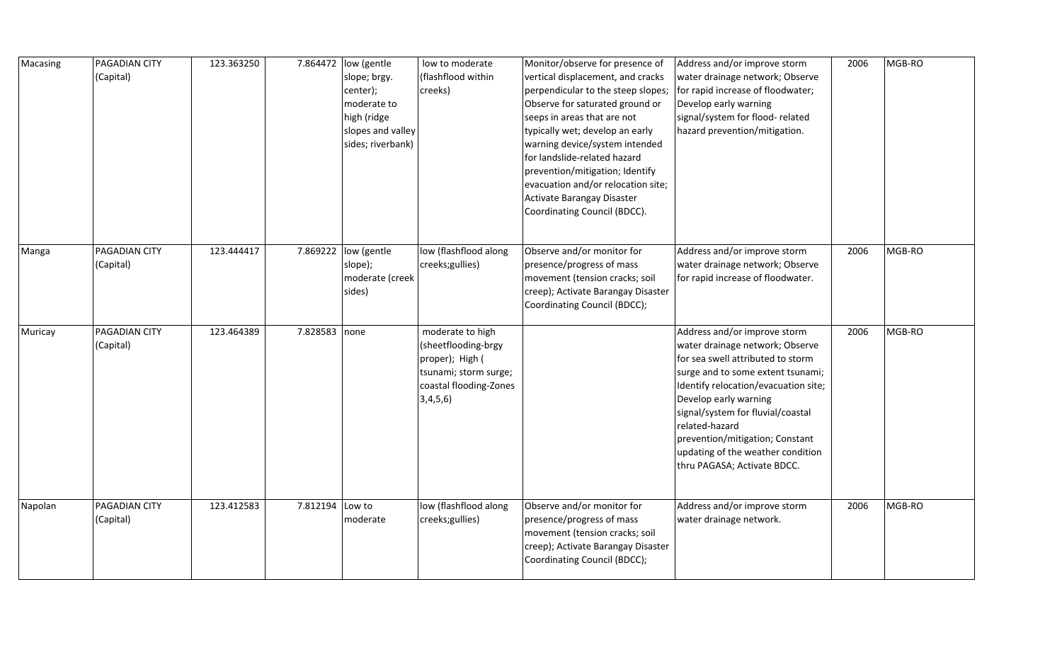| Macasing | PAGADIAN CITY<br>(Capital) | 123.363250 |               | 7.864472  low (gentle<br>slope; brgy.<br>center);<br>moderate to<br>high (ridge<br>slopes and valley<br>sides; riverbank) | low to moderate<br>(flashflood within<br>creeks)                                                                          | Monitor/observe for presence of<br>vertical displacement, and cracks<br>perpendicular to the steep slopes;<br>Observe for saturated ground or<br>seeps in areas that are not<br>typically wet; develop an early<br>warning device/system intended<br>for landslide-related hazard<br>prevention/mitigation; Identify<br>evacuation and/or relocation site;<br>Activate Barangay Disaster<br>Coordinating Council (BDCC). | Address and/or improve storm<br>water drainage network; Observe<br>for rapid increase of floodwater;<br>Develop early warning<br>signal/system for flood-related<br>hazard prevention/mitigation.                                                                                                                                                                        | 2006 | MGB-RO |
|----------|----------------------------|------------|---------------|---------------------------------------------------------------------------------------------------------------------------|---------------------------------------------------------------------------------------------------------------------------|--------------------------------------------------------------------------------------------------------------------------------------------------------------------------------------------------------------------------------------------------------------------------------------------------------------------------------------------------------------------------------------------------------------------------|--------------------------------------------------------------------------------------------------------------------------------------------------------------------------------------------------------------------------------------------------------------------------------------------------------------------------------------------------------------------------|------|--------|
| Manga    | PAGADIAN CITY<br>(Capital) | 123.444417 | 7.869222      | low (gentle<br>slope);<br>moderate (creek<br>sides)                                                                       | low (flashflood along<br>creeks;gullies)                                                                                  | Observe and/or monitor for<br>presence/progress of mass<br>movement (tension cracks; soil<br>creep); Activate Barangay Disaster<br>Coordinating Council (BDCC);                                                                                                                                                                                                                                                          | Address and/or improve storm<br>water drainage network; Observe<br>for rapid increase of floodwater.                                                                                                                                                                                                                                                                     | 2006 | MGB-RO |
| Muricay  | PAGADIAN CITY<br>(Capital) | 123.464389 | 7.828583 none |                                                                                                                           | moderate to high<br>(sheetflooding-brgy<br>proper); High (<br>tsunami; storm surge;<br>coastal flooding-Zones<br>3,4,5,6) |                                                                                                                                                                                                                                                                                                                                                                                                                          | Address and/or improve storm<br>water drainage network; Observe<br>for sea swell attributed to storm<br>surge and to some extent tsunami;<br>Identify relocation/evacuation site;<br>Develop early warning<br>signal/system for fluvial/coastal<br>related-hazard<br>prevention/mitigation; Constant<br>updating of the weather condition<br>thru PAGASA; Activate BDCC. | 2006 | MGB-RO |
| Napolan  | PAGADIAN CITY<br>(Capital) | 123.412583 | 7.812194      | Low to<br>moderate                                                                                                        | low (flashflood along<br>creeks;gullies)                                                                                  | Observe and/or monitor for<br>presence/progress of mass<br>movement (tension cracks; soil<br>creep); Activate Barangay Disaster<br>Coordinating Council (BDCC);                                                                                                                                                                                                                                                          | Address and/or improve storm<br>water drainage network.                                                                                                                                                                                                                                                                                                                  | 2006 | MGB-RO |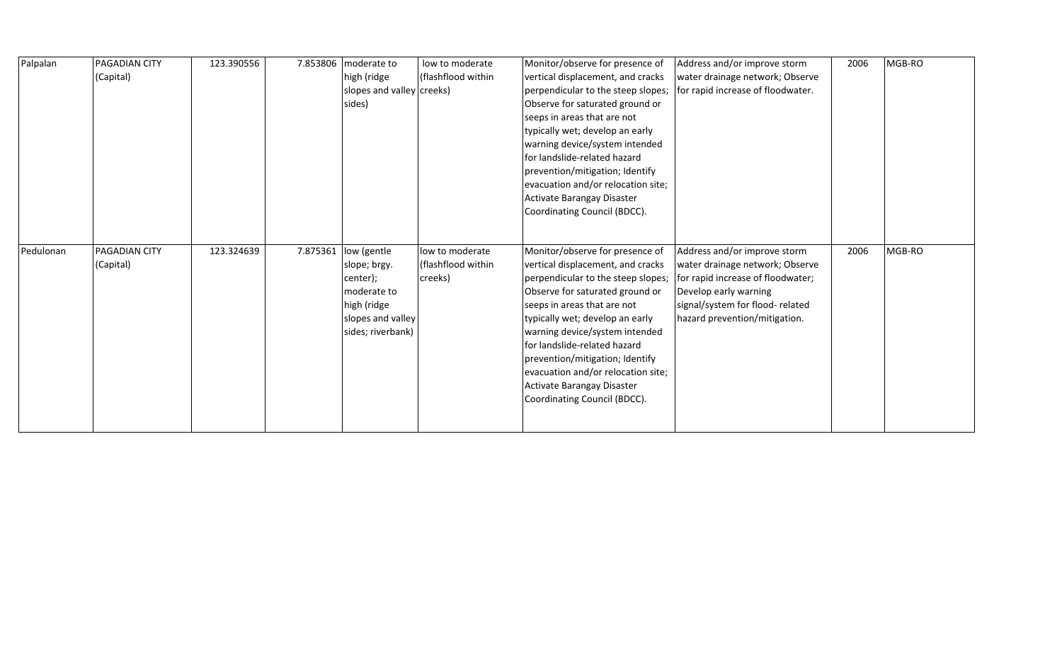| Palpalan  | PAGADIAN CITY | 123.390556 | 7.853806 | moderate to               | low to moderate    | Monitor/observe for presence of    | Address and/or improve storm      | 2006 | MGB-RO |
|-----------|---------------|------------|----------|---------------------------|--------------------|------------------------------------|-----------------------------------|------|--------|
|           | (Capital)     |            |          | high (ridge               | (flashflood within | vertical displacement, and cracks  | water drainage network; Observe   |      |        |
|           |               |            |          | slopes and valley creeks) |                    | perpendicular to the steep slopes; | for rapid increase of floodwater. |      |        |
|           |               |            |          | sides)                    |                    | Observe for saturated ground or    |                                   |      |        |
|           |               |            |          |                           |                    | seeps in areas that are not        |                                   |      |        |
|           |               |            |          |                           |                    | typically wet; develop an early    |                                   |      |        |
|           |               |            |          |                           |                    | warning device/system intended     |                                   |      |        |
|           |               |            |          |                           |                    | Ifor landslide-related hazard      |                                   |      |        |
|           |               |            |          |                           |                    | prevention/mitigation; Identify    |                                   |      |        |
|           |               |            |          |                           |                    | evacuation and/or relocation site; |                                   |      |        |
|           |               |            |          |                           |                    | Activate Barangay Disaster         |                                   |      |        |
|           |               |            |          |                           |                    | Coordinating Council (BDCC).       |                                   |      |        |
|           |               |            |          |                           |                    |                                    |                                   |      |        |
|           |               |            |          |                           |                    |                                    |                                   |      |        |
| Pedulonan | PAGADIAN CITY | 123.324639 |          | 7.875361   low (gentle    | low to moderate    | Monitor/observe for presence of    | Address and/or improve storm      | 2006 | MGB-RO |
|           |               |            |          |                           |                    |                                    |                                   |      |        |
|           | (Capital)     |            |          | slope; brgy.              | (flashflood within | vertical displacement, and cracks  | water drainage network; Observe   |      |        |
|           |               |            |          | center);                  | creeks)            | perpendicular to the steep slopes; | for rapid increase of floodwater; |      |        |
|           |               |            |          | moderate to               |                    | Observe for saturated ground or    | Develop early warning             |      |        |
|           |               |            |          | high (ridge               |                    | seeps in areas that are not        | signal/system for flood-related   |      |        |
|           |               |            |          | slopes and valley         |                    | typically wet; develop an early    | hazard prevention/mitigation.     |      |        |
|           |               |            |          | sides; riverbank)         |                    | warning device/system intended     |                                   |      |        |
|           |               |            |          |                           |                    | for landslide-related hazard       |                                   |      |        |
|           |               |            |          |                           |                    | prevention/mitigation; Identify    |                                   |      |        |
|           |               |            |          |                           |                    | evacuation and/or relocation site; |                                   |      |        |
|           |               |            |          |                           |                    | Activate Barangay Disaster         |                                   |      |        |
|           |               |            |          |                           |                    | Coordinating Council (BDCC).       |                                   |      |        |
|           |               |            |          |                           |                    |                                    |                                   |      |        |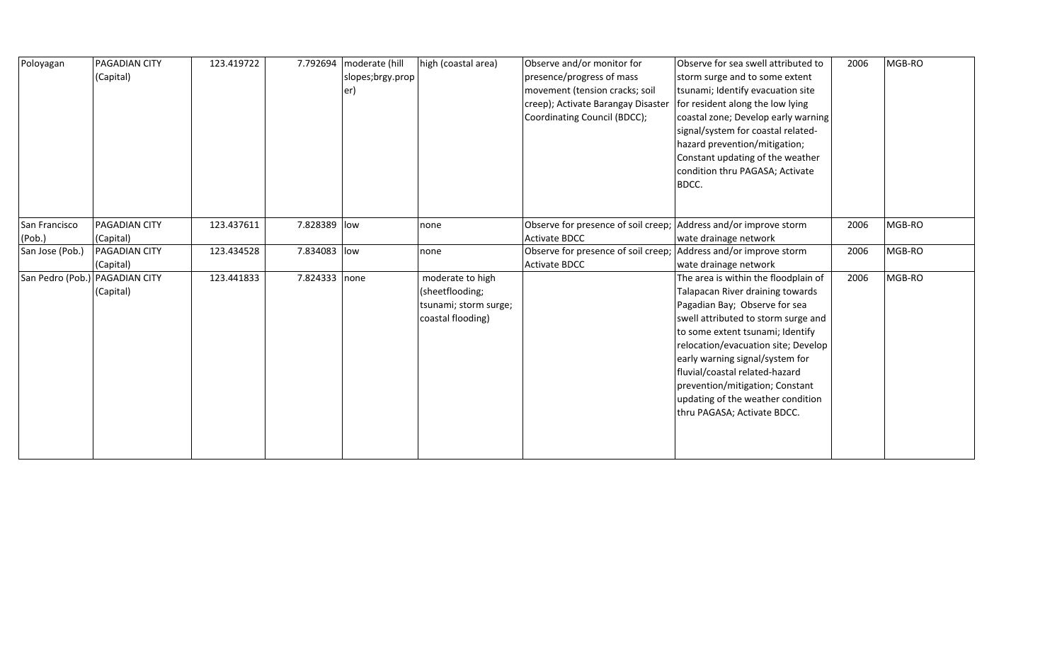| Poloyagan                      | <b>PAGADIAN CITY</b><br>(Capital) | 123.419722 | 7.792694      | moderate (hill<br>slopes;brgy.prop<br>er) | high (coastal area)                                                               | Observe and/or monitor for<br>presence/progress of mass<br>movement (tension cracks; soil<br>creep); Activate Barangay Disaster<br>Coordinating Council (BDCC); | Observe for sea swell attributed to<br>storm surge and to some extent<br>tsunami; Identify evacuation site<br>for resident along the low lying<br>coastal zone; Develop early warning<br>signal/system for coastal related-<br>hazard prevention/mitigation;<br>Constant updating of the weather<br>condition thru PAGASA; Activate<br>BDCC.                                                            | 2006 | MGB-RO |
|--------------------------------|-----------------------------------|------------|---------------|-------------------------------------------|-----------------------------------------------------------------------------------|-----------------------------------------------------------------------------------------------------------------------------------------------------------------|---------------------------------------------------------------------------------------------------------------------------------------------------------------------------------------------------------------------------------------------------------------------------------------------------------------------------------------------------------------------------------------------------------|------|--------|
| San Francisco<br>(Pob.)        | <b>PAGADIAN CITY</b><br>(Capital) | 123.437611 | 7.828389 low  |                                           | none                                                                              | Observe for presence of soil creep;<br><b>Activate BDCC</b>                                                                                                     | Address and/or improve storm<br>wate drainage network                                                                                                                                                                                                                                                                                                                                                   | 2006 | MGB-RO |
| San Jose (Pob.)                | <b>PAGADIAN CITY</b><br>(Capital) | 123.434528 | 7.834083 low  |                                           | none                                                                              | Observe for presence of soil creep;<br><b>Activate BDCC</b>                                                                                                     | Address and/or improve storm<br>wate drainage network                                                                                                                                                                                                                                                                                                                                                   | 2006 | MGB-RO |
| San Pedro (Pob.) PAGADIAN CITY | (Capital)                         | 123.441833 | 7.824333 none |                                           | moderate to high<br>(sheetflooding;<br>tsunami; storm surge;<br>coastal flooding) |                                                                                                                                                                 | The area is within the floodplain of<br>Talapacan River draining towards<br>Pagadian Bay; Observe for sea<br>swell attributed to storm surge and<br>to some extent tsunami; Identify<br>relocation/evacuation site; Develop<br>early warning signal/system for<br>fluvial/coastal related-hazard<br>prevention/mitigation; Constant<br>updating of the weather condition<br>thru PAGASA; Activate BDCC. | 2006 | MGB-RO |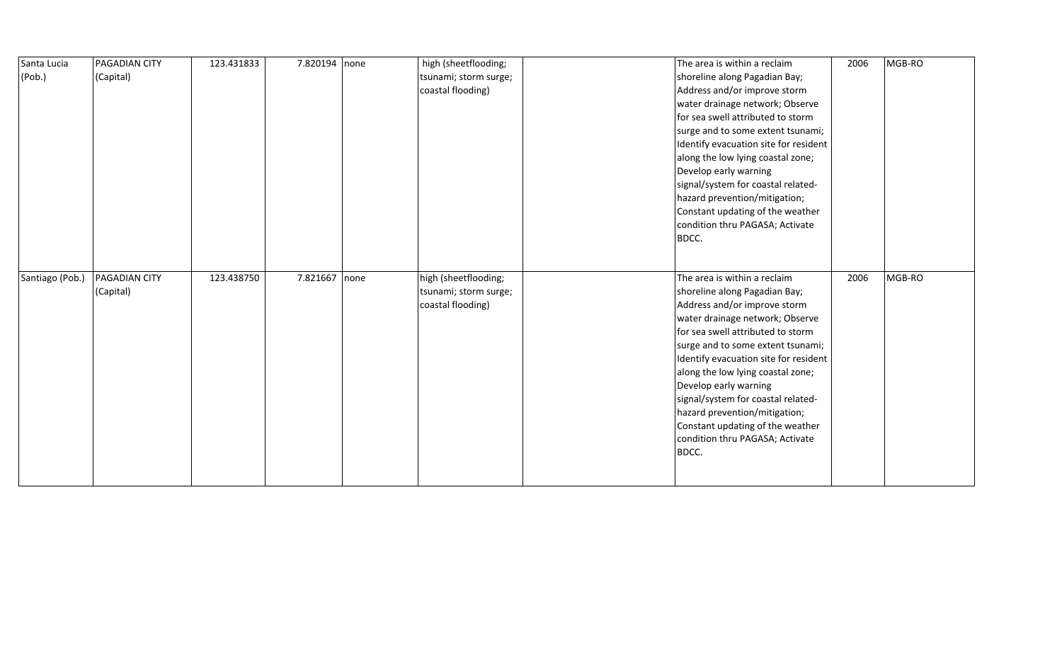| Santa Lucia     | <b>PAGADIAN CITY</b> | 123.431833 | 7.820194 none | high (sheetflooding;  | The area is within a reclaim          | 2006 | MGB-RO |
|-----------------|----------------------|------------|---------------|-----------------------|---------------------------------------|------|--------|
| (Pob.)          | (Capital)            |            |               | tsunami; storm surge; | shoreline along Pagadian Bay;         |      |        |
|                 |                      |            |               | coastal flooding)     | Address and/or improve storm          |      |        |
|                 |                      |            |               |                       | water drainage network; Observe       |      |        |
|                 |                      |            |               |                       | for sea swell attributed to storm     |      |        |
|                 |                      |            |               |                       | surge and to some extent tsunami;     |      |        |
|                 |                      |            |               |                       | Identify evacuation site for resident |      |        |
|                 |                      |            |               |                       | along the low lying coastal zone;     |      |        |
|                 |                      |            |               |                       | Develop early warning                 |      |        |
|                 |                      |            |               |                       | signal/system for coastal related-    |      |        |
|                 |                      |            |               |                       | hazard prevention/mitigation;         |      |        |
|                 |                      |            |               |                       | Constant updating of the weather      |      |        |
|                 |                      |            |               |                       | condition thru PAGASA; Activate       |      |        |
|                 |                      |            |               |                       | BDCC.                                 |      |        |
|                 |                      |            |               |                       |                                       |      |        |
|                 |                      |            |               |                       |                                       |      |        |
|                 |                      |            |               |                       |                                       |      |        |
| Santiago (Pob.) | <b>PAGADIAN CITY</b> | 123.438750 | 7.821667 none | high (sheetflooding;  | The area is within a reclaim          | 2006 | MGB-RO |
|                 | (Capital)            |            |               | tsunami; storm surge; | shoreline along Pagadian Bay;         |      |        |
|                 |                      |            |               | coastal flooding)     | Address and/or improve storm          |      |        |
|                 |                      |            |               |                       | water drainage network; Observe       |      |        |
|                 |                      |            |               |                       | for sea swell attributed to storm     |      |        |
|                 |                      |            |               |                       | surge and to some extent tsunami;     |      |        |
|                 |                      |            |               |                       | Identify evacuation site for resident |      |        |
|                 |                      |            |               |                       | along the low lying coastal zone;     |      |        |
|                 |                      |            |               |                       | Develop early warning                 |      |        |
|                 |                      |            |               |                       | signal/system for coastal related-    |      |        |
|                 |                      |            |               |                       | hazard prevention/mitigation;         |      |        |
|                 |                      |            |               |                       | Constant updating of the weather      |      |        |
|                 |                      |            |               |                       | condition thru PAGASA; Activate       |      |        |
|                 |                      |            |               |                       | BDCC.                                 |      |        |
|                 |                      |            |               |                       |                                       |      |        |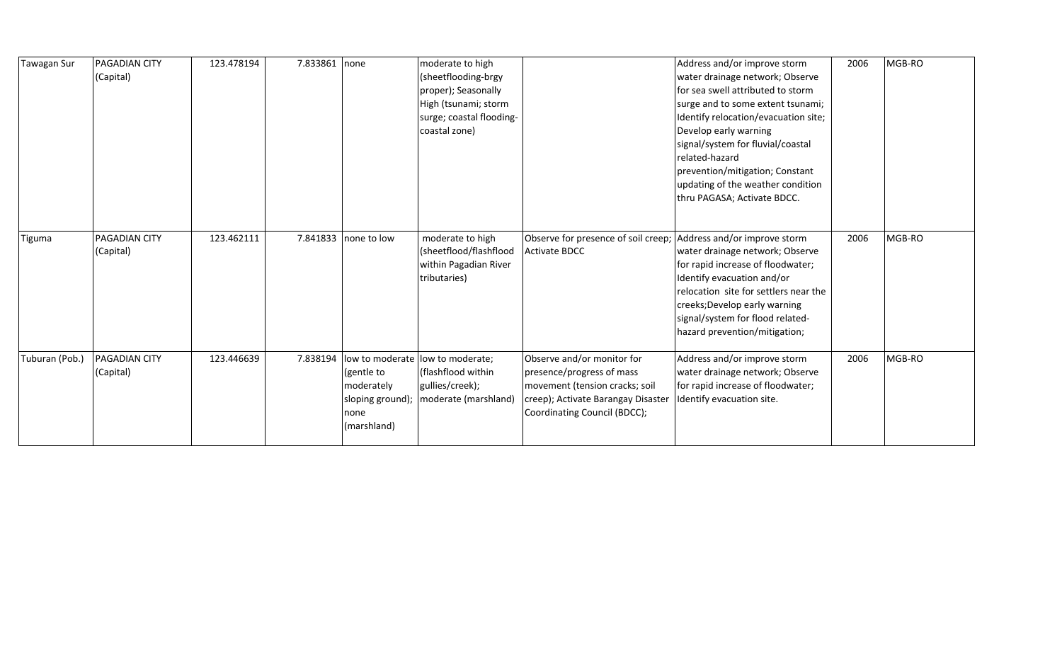| Tawagan Sur    | PAGADIAN CITY<br>(Capital)        | 123.478194 | 7.833861 none |                                                                                        | moderate to high<br>(sheetflooding-brgy<br>proper); Seasonally<br>High (tsunami; storm<br>surge; coastal flooding-<br>coastal zone) |                                                                                                                                                                 | Address and/or improve storm<br>water drainage network; Observe<br>lfor sea swell attributed to storm<br>surge and to some extent tsunami;<br>Identify relocation/evacuation site;<br>Develop early warning<br>signal/system for fluvial/coastal<br>related-hazard<br>prevention/mitigation; Constant<br>updating of the weather condition<br>thru PAGASA; Activate BDCC. | 2006 | MGB-RO |
|----------------|-----------------------------------|------------|---------------|----------------------------------------------------------------------------------------|-------------------------------------------------------------------------------------------------------------------------------------|-----------------------------------------------------------------------------------------------------------------------------------------------------------------|---------------------------------------------------------------------------------------------------------------------------------------------------------------------------------------------------------------------------------------------------------------------------------------------------------------------------------------------------------------------------|------|--------|
| <b>Tiguma</b>  | PAGADIAN CITY<br>(Capital)        | 123.462111 |               | 7.841833 none to low                                                                   | moderate to high<br>(sheetflood/flashflood<br>within Pagadian River<br>tributaries)                                                 | Observe for presence of soil creep; Address and/or improve storm<br><b>Activate BDCC</b>                                                                        | water drainage network; Observe<br>for rapid increase of floodwater;<br>Identify evacuation and/or<br>relocation site for settlers near the<br>creeks; Develop early warning<br>signal/system for flood related-<br>hazard prevention/mitigation;                                                                                                                         | 2006 | MGB-RO |
| Tuburan (Pob.) | <b>PAGADIAN CITY</b><br>(Capital) | 123.446639 | 7.838194      | low to moderate<br>(gentle to<br>moderately<br>sloping ground);<br>none<br>(marshland) | low to moderate;<br>(flashflood within<br>gullies/creek);<br>moderate (marshland)                                                   | Observe and/or monitor for<br>presence/progress of mass<br>movement (tension cracks; soil<br>creep); Activate Barangay Disaster<br>Coordinating Council (BDCC); | Address and/or improve storm<br>water drainage network; Observe<br>for rapid increase of floodwater;<br>Identify evacuation site.                                                                                                                                                                                                                                         | 2006 | MGB-RO |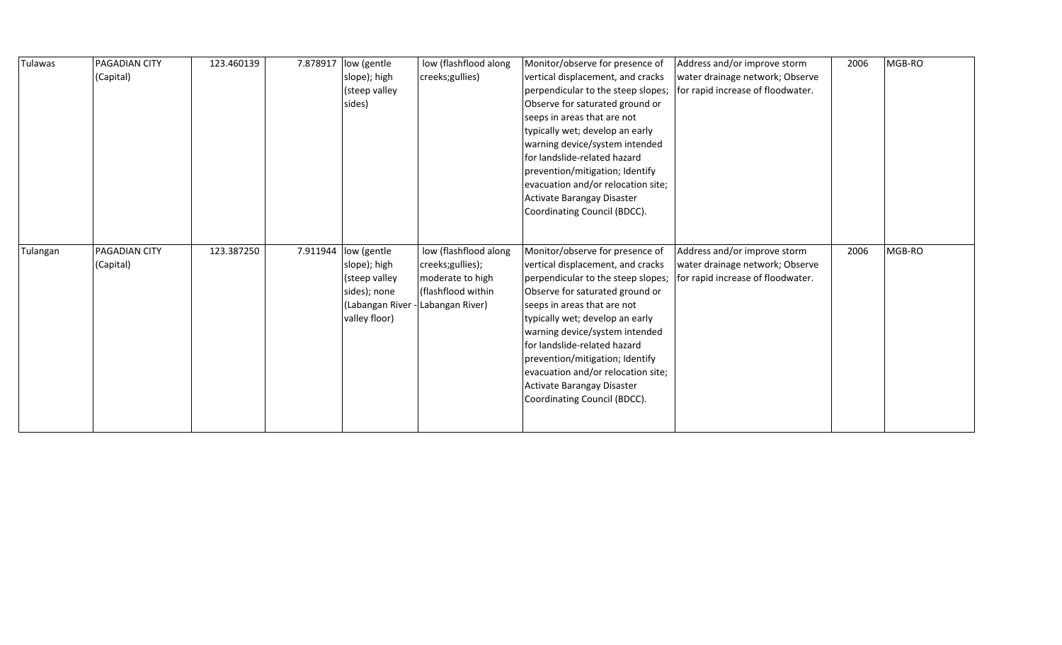| Tulawas  | PAGADIAN CITY<br>(Capital) | 123.460139 | 7.878917 | low (gentle<br>slope); high<br>(steep valley<br>sides)                                             | low (flashflood along<br>creeks;gullies)                                                               | Monitor/observe for presence of<br>vertical displacement, and cracks<br>perpendicular to the steep slopes;<br>Observe for saturated ground or<br>seeps in areas that are not<br>typically wet; develop an early<br>warning device/system intended<br>for landslide-related hazard<br>prevention/mitigation; Identify<br>evacuation and/or relocation site;<br>Activate Barangay Disaster<br>Coordinating Council (BDCC). | Address and/or improve storm<br>water drainage network; Observe<br>for rapid increase of floodwater. | 2006 | MGB-RO |
|----------|----------------------------|------------|----------|----------------------------------------------------------------------------------------------------|--------------------------------------------------------------------------------------------------------|--------------------------------------------------------------------------------------------------------------------------------------------------------------------------------------------------------------------------------------------------------------------------------------------------------------------------------------------------------------------------------------------------------------------------|------------------------------------------------------------------------------------------------------|------|--------|
| Tulangan | PAGADIAN CITY<br>(Capital) | 123.387250 | 7.911944 | low (gentle<br>slope); high<br>(steep valley<br>sides); none<br>(Labangan River -<br>valley floor) | low (flashflood along<br>creeks;gullies);<br>moderate to high<br>(flashflood within<br>Labangan River) | Monitor/observe for presence of<br>vertical displacement, and cracks<br>perpendicular to the steep slopes;<br>Observe for saturated ground or<br>seeps in areas that are not<br>typically wet; develop an early<br>warning device/system intended<br>for landslide-related hazard<br>prevention/mitigation; Identify<br>evacuation and/or relocation site;<br>Activate Barangay Disaster<br>Coordinating Council (BDCC). | Address and/or improve storm<br>water drainage network; Observe<br>for rapid increase of floodwater. | 2006 | MGB-RO |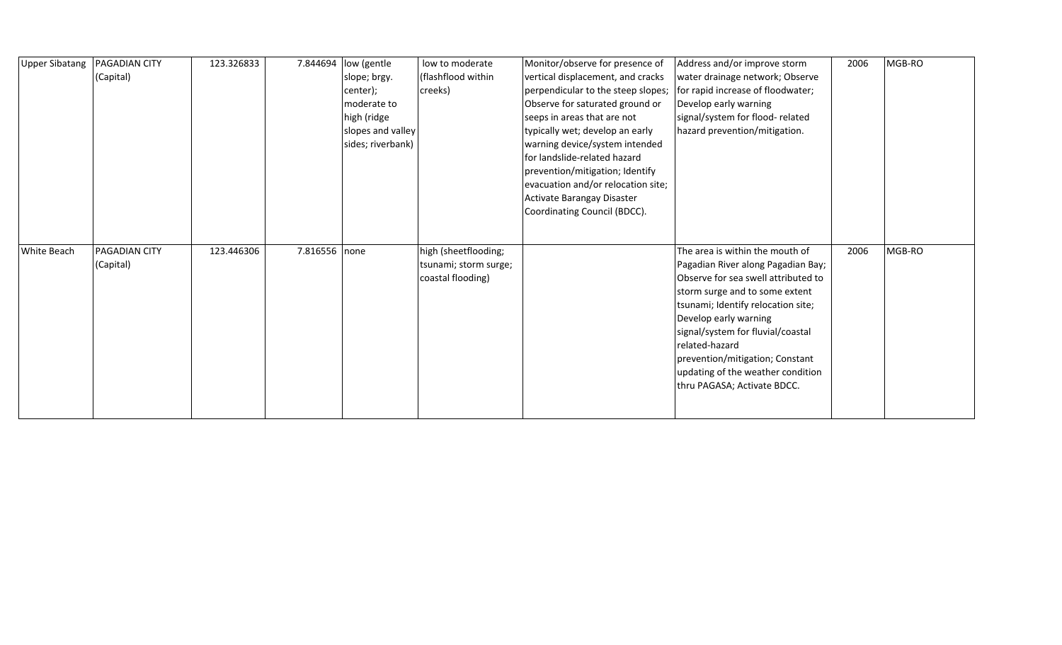| <b>Upper Sibatang</b> | <b>PAGADIAN CITY</b> | 123.326833 | 7.844694 | low (gentle       | low to moderate       | Monitor/observe for presence of    | Address and/or improve storm        | 2006 | MGB-RO |
|-----------------------|----------------------|------------|----------|-------------------|-----------------------|------------------------------------|-------------------------------------|------|--------|
|                       | (Capital)            |            |          | slope; brgy.      | (flashflood within    | vertical displacement, and cracks  | water drainage network; Observe     |      |        |
|                       |                      |            |          | center);          | creeks)               | perpendicular to the steep slopes; | for rapid increase of floodwater;   |      |        |
|                       |                      |            |          | moderate to       |                       | Observe for saturated ground or    | Develop early warning               |      |        |
|                       |                      |            |          | high (ridge       |                       | seeps in areas that are not        | signal/system for flood-related     |      |        |
|                       |                      |            |          | slopes and valley |                       | typically wet; develop an early    | hazard prevention/mitigation.       |      |        |
|                       |                      |            |          | sides; riverbank) |                       | warning device/system intended     |                                     |      |        |
|                       |                      |            |          |                   |                       | for landslide-related hazard       |                                     |      |        |
|                       |                      |            |          |                   |                       | prevention/mitigation; Identify    |                                     |      |        |
|                       |                      |            |          |                   |                       | evacuation and/or relocation site; |                                     |      |        |
|                       |                      |            |          |                   |                       | Activate Barangay Disaster         |                                     |      |        |
|                       |                      |            |          |                   |                       | Coordinating Council (BDCC).       |                                     |      |        |
|                       |                      |            |          |                   |                       |                                    |                                     |      |        |
|                       |                      |            |          |                   |                       |                                    |                                     |      |        |
| White Beach           | <b>PAGADIAN CITY</b> | 123.446306 | 7.816556 | none              | high (sheetflooding;  |                                    | The area is within the mouth of     | 2006 | MGB-RO |
|                       | (Capital)            |            |          |                   | tsunami; storm surge; |                                    | Pagadian River along Pagadian Bay;  |      |        |
|                       |                      |            |          |                   | coastal flooding)     |                                    | Observe for sea swell attributed to |      |        |
|                       |                      |            |          |                   |                       |                                    | storm surge and to some extent      |      |        |
|                       |                      |            |          |                   |                       |                                    | tsunami; Identify relocation site;  |      |        |
|                       |                      |            |          |                   |                       |                                    | Develop early warning               |      |        |
|                       |                      |            |          |                   |                       |                                    | signal/system for fluvial/coastal   |      |        |
|                       |                      |            |          |                   |                       |                                    | related-hazard                      |      |        |
|                       |                      |            |          |                   |                       |                                    | prevention/mitigation; Constant     |      |        |
|                       |                      |            |          |                   |                       |                                    | updating of the weather condition   |      |        |
|                       |                      |            |          |                   |                       |                                    | thru PAGASA; Activate BDCC.         |      |        |
|                       |                      |            |          |                   |                       |                                    |                                     |      |        |
|                       |                      |            |          |                   |                       |                                    |                                     |      |        |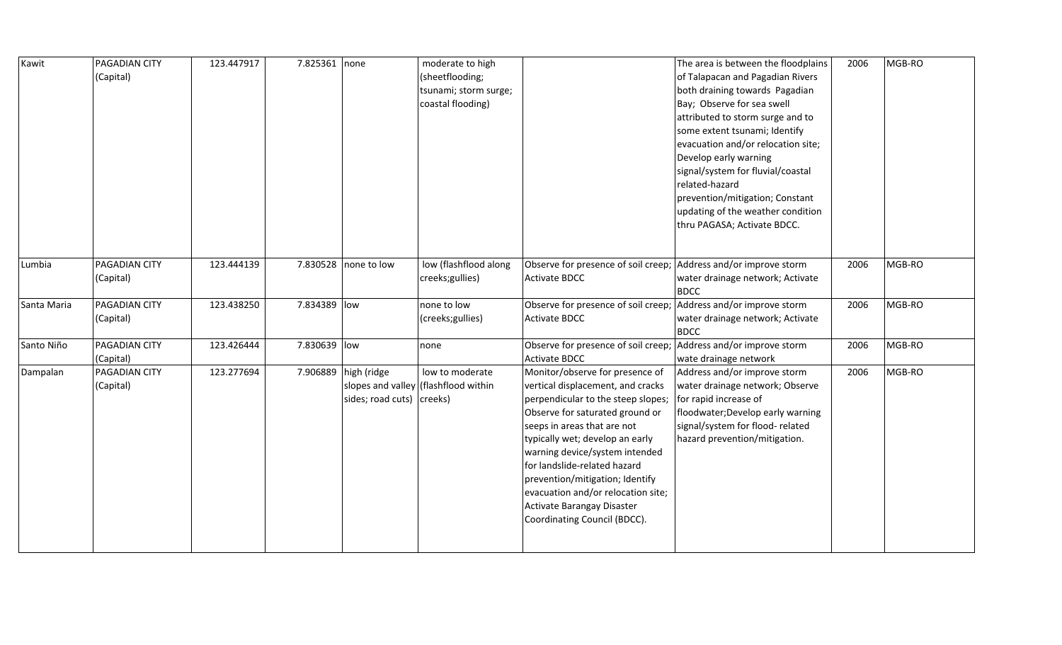| Kawit       | <b>PAGADIAN CITY</b><br>(Capital) | 123.447917 | 7.825361 none |                                          | moderate to high<br>(sheetflooding;<br>tsunami; storm surge;<br>coastal flooding) |                                                                                                                                                                                                                                                                                                                                                                                                                          | The area is between the floodplains<br>of Talapacan and Pagadian Rivers<br>both draining towards Pagadian<br>Bay; Observe for sea swell<br>attributed to storm surge and to<br>some extent tsunami; Identify<br>evacuation and/or relocation site;<br>Develop early warning<br>signal/system for fluvial/coastal<br>related-hazard<br>prevention/mitigation; Constant<br>updating of the weather condition<br>thru PAGASA; Activate BDCC. | 2006 | MGB-RO |
|-------------|-----------------------------------|------------|---------------|------------------------------------------|-----------------------------------------------------------------------------------|--------------------------------------------------------------------------------------------------------------------------------------------------------------------------------------------------------------------------------------------------------------------------------------------------------------------------------------------------------------------------------------------------------------------------|-------------------------------------------------------------------------------------------------------------------------------------------------------------------------------------------------------------------------------------------------------------------------------------------------------------------------------------------------------------------------------------------------------------------------------------------|------|--------|
| Lumbia      | <b>PAGADIAN CITY</b><br>(Capital) | 123.444139 |               | 7.830528 none to low                     | low (flashflood along<br>creeks;gullies)                                          | Observe for presence of soil creep; Address and/or improve storm<br><b>Activate BDCC</b>                                                                                                                                                                                                                                                                                                                                 | water drainage network; Activate<br><b>BDCC</b>                                                                                                                                                                                                                                                                                                                                                                                           | 2006 | MGB-RO |
| Santa Maria | <b>PAGADIAN CITY</b><br>(Capital) | 123.438250 | 7.834389 low  |                                          | none to low<br>(creeks; gullies)                                                  | Observe for presence of soil creep;<br><b>Activate BDCC</b>                                                                                                                                                                                                                                                                                                                                                              | Address and/or improve storm<br>water drainage network; Activate<br><b>BDCC</b>                                                                                                                                                                                                                                                                                                                                                           | 2006 | MGB-RO |
| Santo Niño  | <b>PAGADIAN CITY</b><br>(Capital) | 123.426444 | 7.830639 low  |                                          | none                                                                              | Observe for presence of soil creep;<br>Activate BDCC                                                                                                                                                                                                                                                                                                                                                                     | Address and/or improve storm<br>wate drainage network                                                                                                                                                                                                                                                                                                                                                                                     | 2006 | MGB-RO |
| Dampalan    | <b>PAGADIAN CITY</b><br>(Capital) | 123.277694 | 7.906889      | high (ridge<br>sides; road cuts) creeks) | low to moderate<br>slopes and valley (flashflood within                           | Monitor/observe for presence of<br>vertical displacement, and cracks<br>perpendicular to the steep slopes;<br>Observe for saturated ground or<br>seeps in areas that are not<br>typically wet; develop an early<br>warning device/system intended<br>for landslide-related hazard<br>prevention/mitigation; Identify<br>evacuation and/or relocation site;<br>Activate Barangay Disaster<br>Coordinating Council (BDCC). | Address and/or improve storm<br>water drainage network; Observe<br>for rapid increase of<br>floodwater; Develop early warning<br>signal/system for flood-related<br>hazard prevention/mitigation.                                                                                                                                                                                                                                         | 2006 | MGB-RO |